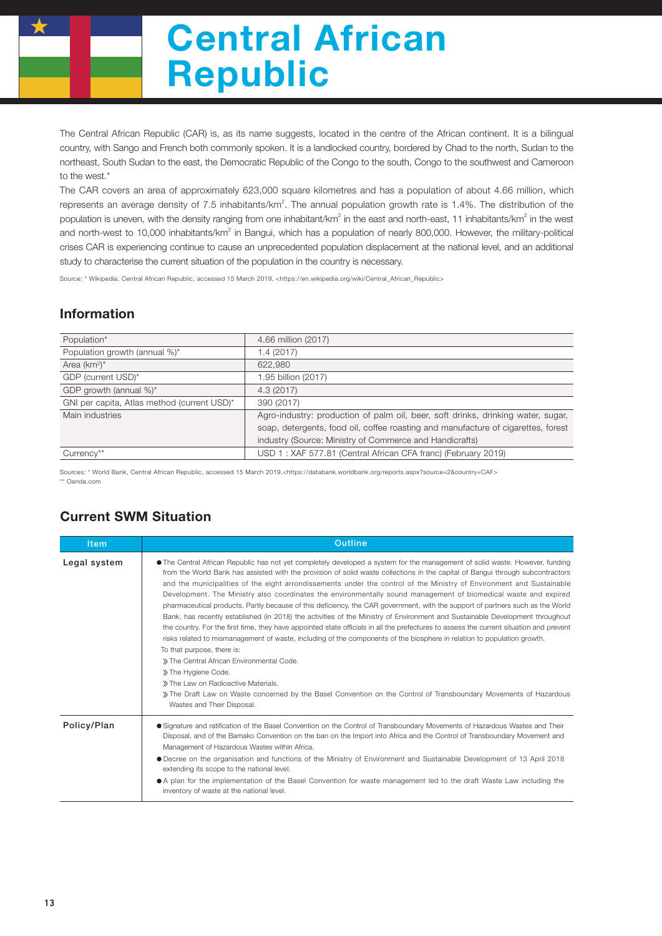# Central African Republic

The Central African Republic (CAR) is, as its name suggests, located in the centre of the African continent. It is a bilingual country, with Sango and French both commonly spoken. It is a landlocked country, bordered by Chad to the north, Sudan to the northeast, South Sudan to the east, the Democratic Republic of the Congo to the south, Congo to the southwest and Cameroon to the west.\*

The CAR covers an area of approximately 623,000 square kilometres and has a population of about 4.66 million, which represents an average density of 7.5 inhabitants/km<sup>2</sup>. The annual population growth rate is 1.4%. The distribution of the population is uneven, with the density ranging from one inhabitant/km<sup>2</sup> in the east and north-east, 11 inhabitants/km<sup>2</sup> in the west and north-west to 10,000 inhabitants/km<sup>2</sup> in Bangui, which has a population of nearly 800,000. However, the military-political crises CAR is experiencing continue to cause an unprecedented population displacement at the national level, and an additional study to characterise the current situation of the population in the country is necessary.

Source: \* Wikipedia, Central African Republic, accessed 15 March 2019, <https://en.wikipedia.org/wiki/Central\_African\_Republic>

#### Information

| Population*                                 | 4.66 million (2017)                                                               |  |  |
|---------------------------------------------|-----------------------------------------------------------------------------------|--|--|
| Population growth (annual %)*               | 1.4 (2017)                                                                        |  |  |
| Area $(km^2)^*$                             | 622,980                                                                           |  |  |
| GDP (current USD)*                          | 1.95 billion (2017)                                                               |  |  |
| GDP growth (annual %)*                      | 4.3(2017)                                                                         |  |  |
| GNI per capita, Atlas method (current USD)* | 390 (2017)                                                                        |  |  |
| Main industries                             | Agro-industry: production of palm oil, beer, soft drinks, drinking water, sugar,  |  |  |
|                                             | soap, detergents, food oil, coffee roasting and manufacture of cigarettes, forest |  |  |
|                                             | industry (Source: Ministry of Commerce and Handicrafts)                           |  |  |
| Currency**                                  | USD 1: XAF 577.81 (Central African CFA franc) (February 2019)                     |  |  |

Sources: \* World Bank, Central African Republic, accessed 15 March 2019,<https://databank.worldbank.org/reports.aspx?source=2&country=CAF> \*\* Oanda.com

## Current SWM Situation

| <b>Item</b>  | Outline                                                                                                                                                                                                                                                                                                                                                                                                                                                                                                                                                                                                                                                                                                                                                                                                                                                                                                                                                                                                                                                                                                                                                                                                                                                                                                                                      |  |  |  |  |
|--------------|----------------------------------------------------------------------------------------------------------------------------------------------------------------------------------------------------------------------------------------------------------------------------------------------------------------------------------------------------------------------------------------------------------------------------------------------------------------------------------------------------------------------------------------------------------------------------------------------------------------------------------------------------------------------------------------------------------------------------------------------------------------------------------------------------------------------------------------------------------------------------------------------------------------------------------------------------------------------------------------------------------------------------------------------------------------------------------------------------------------------------------------------------------------------------------------------------------------------------------------------------------------------------------------------------------------------------------------------|--|--|--|--|
| Legal system | • The Central African Republic has not yet completely developed a system for the management of solid waste. However, funding<br>from the World Bank has assisted with the provision of solid waste collections in the capital of Bangui through subcontractors<br>and the municipalities of the eight arrondissements under the control of the Ministry of Environment and Sustainable<br>Development. The Ministry also coordinates the environmentally sound management of biomedical waste and expired<br>pharmaceutical products. Partly because of this deficiency, the CAR government, with the support of partners such as the World<br>Bank, has recently established (in 2018) the activities of the Ministry of Environment and Sustainable Development throughout<br>the country. For the first time, they have appointed state officials in all the prefectures to assess the current situation and prevent<br>risks related to mismanagement of waste, including of the components of the biosphere in relation to population growth.<br>To that purpose, there is:<br>» The Central African Environmental Code.<br>» The Hygiene Code.<br>» The Law on Radioactive Materials.<br>The Draft Law on Waste concerned by the Basel Convention on the Control of Transboundary Movements of Hazardous<br>Wastes and Their Disposal. |  |  |  |  |
| Policy/Plan  | • Signature and ratification of the Basel Convention on the Control of Transboundary Movements of Hazardous Wastes and Their<br>Disposal, and of the Bamako Convention on the ban on the Import into Africa and the Control of Transboundary Movement and<br>Management of Hazardous Wastes within Africa.<br>● Decree on the organisation and functions of the Ministry of Environment and Sustainable Development of 13 April 2018<br>extending its scope to the national level.<br>• A plan for the implementation of the Basel Convention for waste management led to the draft Waste Law including the<br>inventory of waste at the national level.                                                                                                                                                                                                                                                                                                                                                                                                                                                                                                                                                                                                                                                                                     |  |  |  |  |